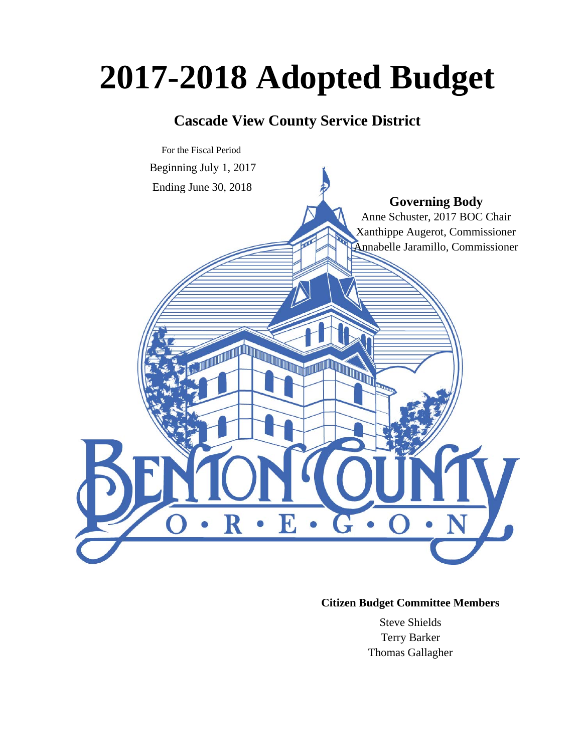# **2017-2018 Adopted Budget**

# **Cascade View County Service District**



# **Citizen Budget Committee Members**

Steve Shields Terry Barker Thomas Gallagher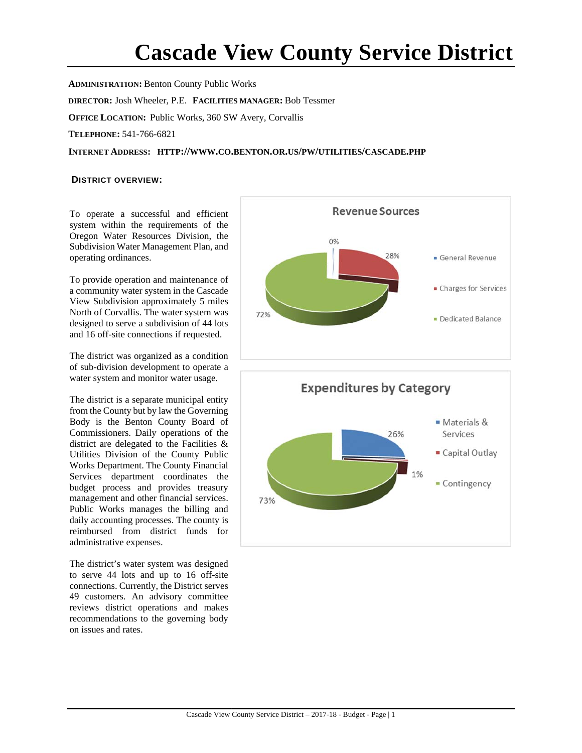# **Cascade View County Service District**

**ADMINISTRATION:** Benton County Public Works **DIRECTOR:** Josh Wheeler, P.E. **FACILITIES MANAGER:** Bob Tessmer **OFFICE LOCATION:** Public Works, 360 SW Avery, Corvallis **TELEPHONE:** 541-766-6821 **INTERNET ADDRESS: HTTP://WWW.CO.BENTON.OR.US/PW/UTILITIES/CASCADE.PHP**

#### **DISTRICT OVERVIEW:**

To operate a successful and efficient system within the requirements of the Oregon Water Resources Division, the Subdivision Water Management Plan, and operating ordinances.

To provide operation and maintenance of a community water system in the Cascade View Subdivision approximately 5 miles North of Corvallis. The water system was designed to serve a subdivision of 44 lots and 16 off-site connections if requested.

The district was organized as a condition of sub-division development to operate a water system and monitor water usage.

The district is a separate municipal entity from the County but by law the Governing Body is the Benton County Board of Commissioners. Daily operations of the district are delegated to the Facilities & Utilities Division of the County Public Works Department. The County Financial Services department coordinates the budget process and provides treasury management and other financial services. Public Works manages the billing and daily accounting processes. The county is reimbursed from district funds for administrative expenses.

The district's water system was designed to serve 44 lots and up to 16 off-site connections. Currently, the District serves 49 customers. An advisory committee reviews district operations and makes recommendations to the governing body on issues and rates.



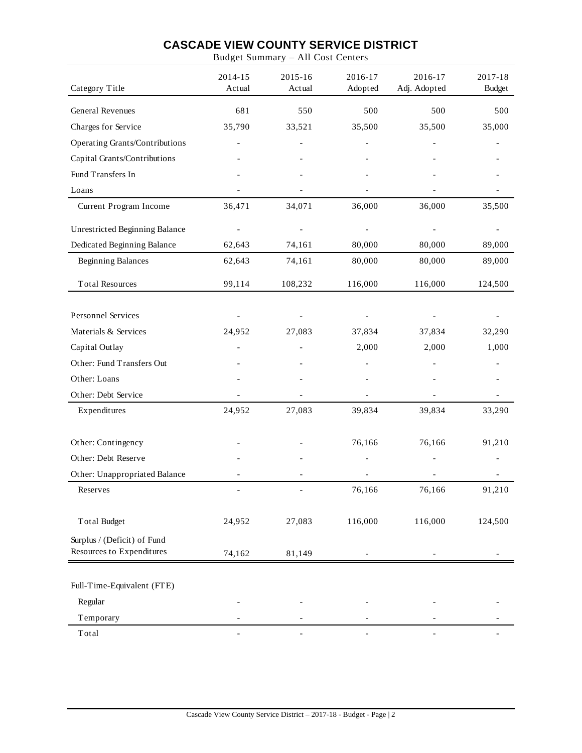Budget Summary – All Cost Centers

| Category Title                        | 2014-15<br>Actual        | 2015-16<br>Actual        | 2016-17<br>Adopted       | 2016-17<br>Adj. Adopted  | 2017-18<br><b>Budget</b> |
|---------------------------------------|--------------------------|--------------------------|--------------------------|--------------------------|--------------------------|
| General Revenues                      | 681                      | 550                      | 500                      | 500                      | 500                      |
| Charges for Service                   | 35,790                   | 33,521                   | 35,500                   | 35,500                   | 35,000                   |
| Operating Grants/Contributions        |                          |                          |                          |                          |                          |
| Capital Grants/Contributions          |                          |                          |                          |                          |                          |
| Fund Transfers In                     |                          |                          |                          |                          |                          |
| Loans                                 |                          |                          |                          |                          |                          |
| Current Program Income                | 36,471                   | 34,071                   | 36,000                   | 36,000                   | 35,500                   |
| <b>Unrestricted Beginning Balance</b> |                          |                          |                          |                          |                          |
| Dedicated Beginning Balance           | 62,643                   | 74,161                   | 80,000                   | 80,000                   | 89,000                   |
| <b>Beginning Balances</b>             | 62,643                   | 74,161                   | 80,000                   | 80,000                   | 89,000                   |
| <b>Total Resources</b>                | 99,114                   | 108,232                  | 116,000                  | 116,000                  | 124,500                  |
| Personnel Services                    |                          |                          |                          |                          |                          |
| Materials & Services                  | 24,952                   | 27,083                   | 37,834                   | 37,834                   | 32,290                   |
| Capital Outlay                        |                          |                          | 2,000                    | 2,000                    | 1,000                    |
| Other: Fund Transfers Out             |                          |                          |                          |                          |                          |
| Other: Loans                          |                          |                          |                          |                          |                          |
| Other: Debt Service                   |                          |                          |                          |                          |                          |
| Expenditures                          | 24,952                   | 27,083                   | 39,834                   | 39,834                   | 33,290                   |
| Other: Contingency                    |                          |                          | 76,166                   | 76,166                   | 91,210                   |
| Other: Debt Reserve                   |                          |                          |                          |                          |                          |
| Other: Unappropriated Balance         |                          |                          |                          |                          |                          |
| Reserves                              |                          |                          | 76,166                   | 76,166                   | 91,210                   |
| <b>Total Budget</b>                   | 24,952                   | 27,083                   | 116,000                  | 116,000                  | 124,500                  |
| Surplus / (Deficit) of Fund           |                          |                          |                          |                          |                          |
| Resources to Expenditures             | 74,162                   | 81,149                   |                          | $\overline{\phantom{0}}$ |                          |
| Full-Time-Equivalent (FTE)            |                          |                          |                          |                          |                          |
| Regular                               |                          |                          |                          |                          |                          |
| Temporary                             |                          |                          |                          |                          |                          |
| Total                                 | $\overline{\phantom{a}}$ | $\overline{\phantom{0}}$ | $\overline{\phantom{0}}$ | $\qquad \qquad -$        |                          |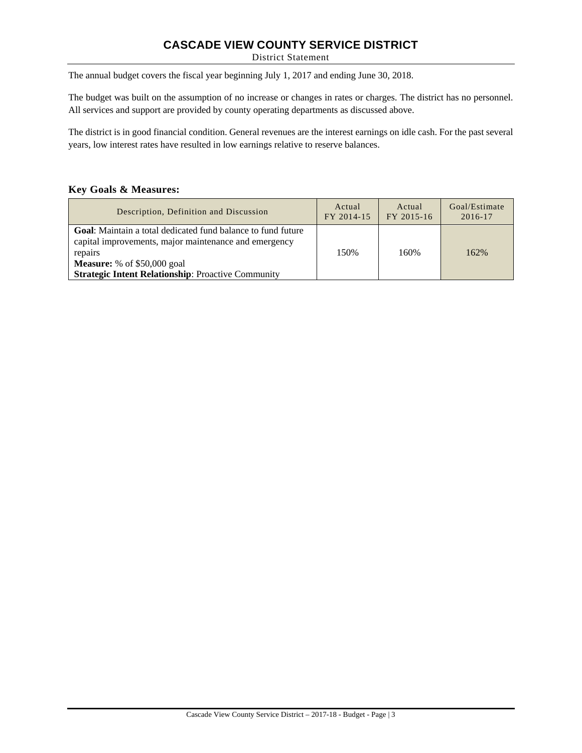District Statement

The annual budget covers the fiscal year beginning July 1, 2017 and ending June 30, 2018.

The budget was built on the assumption of no increase or changes in rates or charges. The district has no personnel. All services and support are provided by county operating departments as discussed above.

The district is in good financial condition. General revenues are the interest earnings on idle cash. For the past several years, low interest rates have resulted in low earnings relative to reserve balances.

#### **Key Goals & Measures:**

| Description, Definition and Discussion                                                                                                                                                                                                      | Actual     | Actual     | Goal/Estimate |
|---------------------------------------------------------------------------------------------------------------------------------------------------------------------------------------------------------------------------------------------|------------|------------|---------------|
|                                                                                                                                                                                                                                             | FY 2014-15 | FY 2015-16 | $2016 - 17$   |
| <b>Goal:</b> Maintain a total dedicated fund balance to fund future<br>capital improvements, major maintenance and emergency<br>repairs<br><b>Measure:</b> % of $$50,000$ goal<br><b>Strategic Intent Relationship: Proactive Community</b> | 150%       | 160%       | 162%          |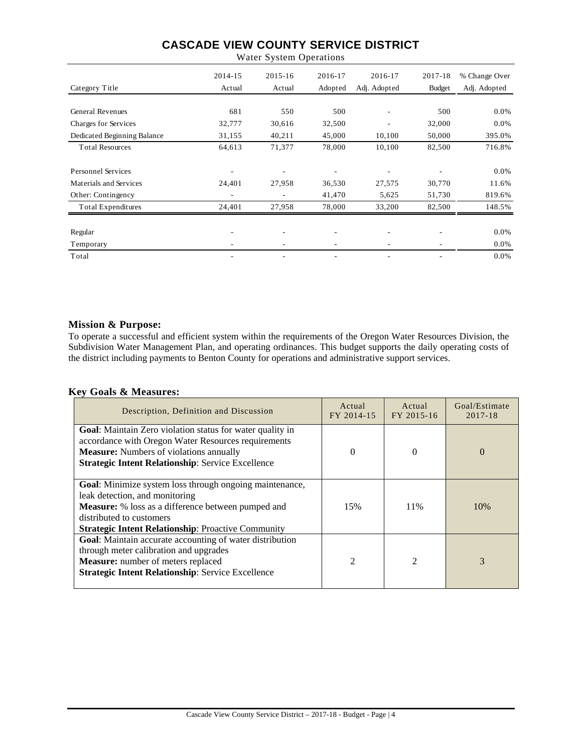|                               | 2014-15 | $2015 - 16$              | 2016-17 | 2016-17      | 2017-18                  | % Change Over |
|-------------------------------|---------|--------------------------|---------|--------------|--------------------------|---------------|
| Category Title                | Actual  | Actual                   | Adopted | Adj. Adopted | <b>Budget</b>            | Adj. Adopted  |
|                               |         |                          |         |              |                          |               |
| <b>General Revenues</b>       | 681     | 550                      | 500     | ۰            | 500                      | 0.0%          |
| Charges for Services          | 32,777  | 30,616                   | 32,500  |              | 32,000                   | 0.0%          |
| Dedicated Beginning Balance   | 31,155  | 40,211                   | 45,000  | 10,100       | 50,000                   | 395.0%        |
| <b>Total Resources</b>        | 64,613  | 71,377                   | 78,000  | 10,100       | 82,500                   | 716.8%        |
|                               |         |                          |         |              |                          |               |
| <b>Personnel Services</b>     |         |                          |         |              |                          | 0.0%          |
| <b>Materials and Services</b> | 24,401  | 27,958                   | 36,530  | 27,575       | 30,770                   | 11.6%         |
| Other: Contingency            | ۰       | $\overline{\phantom{m}}$ | 41,470  | 5,625        | 51,730                   | 819.6%        |
| Total Expenditures            | 24,401  | 27,958                   | 78,000  | 33,200       | 82,500                   | 148.5%        |
|                               |         |                          |         |              |                          |               |
| Regular                       | ۰       | ٠                        | ٠       | ۰            | $\overline{\phantom{a}}$ | 0.0%          |
| Temporary                     |         | $\overline{\phantom{a}}$ |         |              |                          | $0.0\%$       |
| Total                         |         | ٠                        |         |              |                          | 0.0%          |

Water System Operations

#### **Mission & Purpose:**

To operate a successful and efficient system within the requirements of the Oregon Water Resources Division, the Subdivision Water Management Plan, and operating ordinances. This budget supports the daily operating costs of the district including payments to Benton County for operations and administrative support services.

#### **Key Goals & Measures:**

| Description, Definition and Discussion                                                                                                                                                                                                                 | Actual<br>FY 2014-15 | Actual<br>FY 2015-16 | Goal/Estimate<br>2017-18 |
|--------------------------------------------------------------------------------------------------------------------------------------------------------------------------------------------------------------------------------------------------------|----------------------|----------------------|--------------------------|
| Goal: Maintain Zero violation status for water quality in<br>accordance with Oregon Water Resources requirements<br><b>Measure:</b> Numbers of violations annually<br><b>Strategic Intent Relationship: Service Excellence</b>                         | 0                    | $\Omega$             | $\Omega$                 |
| <b>Goal:</b> Minimize system loss through ongoing maintenance,<br>leak detection, and monitoring<br><b>Measure:</b> % loss as a difference between pumped and<br>distributed to customers<br><b>Strategic Intent Relationship: Proactive Community</b> | 15%                  | 11%                  | 10\%                     |
| Goal: Maintain accurate accounting of water distribution<br>through meter calibration and upgrades<br><b>Measure:</b> number of meters replaced<br><b>Strategic Intent Relationship: Service Excellence</b>                                            | $\mathfrak{D}$       | $\mathfrak{D}$       | 3                        |